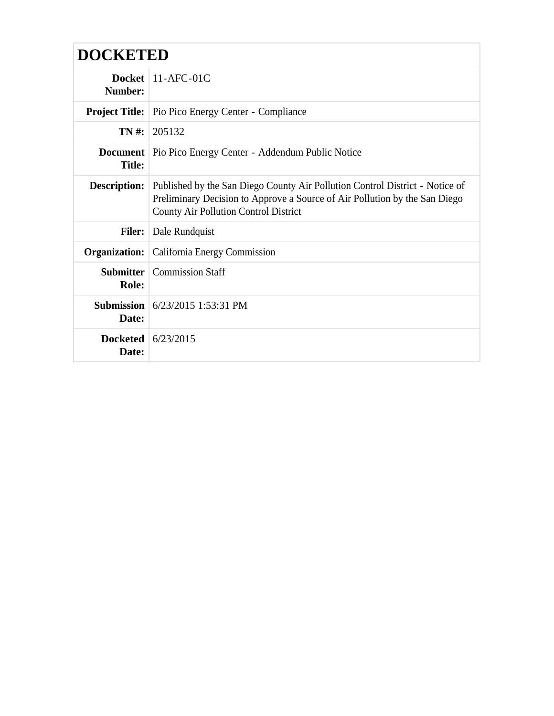## **DOCKETED**

| Number:                       | Docket $11-AFC-01C$                                                                                                                                                                                        |
|-------------------------------|------------------------------------------------------------------------------------------------------------------------------------------------------------------------------------------------------------|
|                               | <b>Project Title:</b> Pio Pico Energy Center - Compliance                                                                                                                                                  |
| $TN#$ :                       | 205132                                                                                                                                                                                                     |
| <b>Title:</b>                 | <b>Document</b>   Pio Pico Energy Center - Addendum Public Notice                                                                                                                                          |
| <b>Description:</b>           | Published by the San Diego County Air Pollution Control District - Notice of<br>Preliminary Decision to Approve a Source of Air Pollution by the San Diego<br><b>County Air Pollution Control District</b> |
| <b>Filer:</b>                 | Dale Rundquist                                                                                                                                                                                             |
| <b>Organization:</b>          | California Energy Commission                                                                                                                                                                               |
| <b>Role:</b>                  | <b>Submitter</b>   Commission Staff                                                                                                                                                                        |
| Date:                         | <b>Submission</b> $6/23/2015$ 1:53:31 PM                                                                                                                                                                   |
| Docketed $6/23/2015$<br>Date: |                                                                                                                                                                                                            |